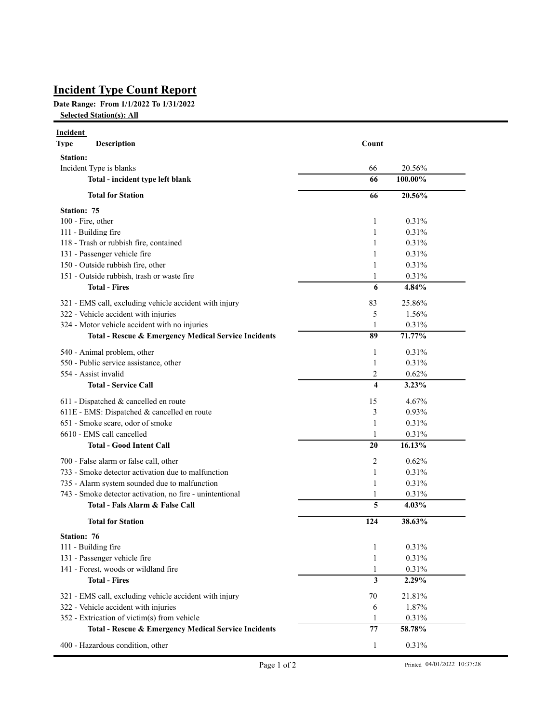## **Incident Type Count Report**

## **Date Range: From 1/1/2022 To 1/31/2022**

**Selected Station(s): All**

| Incident<br><b>Description</b><br><b>Type</b>                   | Count                            |
|-----------------------------------------------------------------|----------------------------------|
| <b>Station:</b>                                                 |                                  |
| Incident Type is blanks                                         | 66<br>20.56%                     |
| Total - incident type left blank                                | 66<br>100.00%                    |
| <b>Total for Station</b>                                        | 66<br>20.56%                     |
| <b>Station: 75</b>                                              |                                  |
| 100 - Fire, other                                               | $\mathbf{1}$<br>0.31%            |
| 111 - Building fire                                             | $\mathbf{1}$<br>0.31%            |
| 118 - Trash or rubbish fire, contained                          | 1<br>0.31%                       |
| 131 - Passenger vehicle fire                                    | 1<br>0.31%                       |
| 150 - Outside rubbish fire, other                               | 1<br>0.31%                       |
| 151 - Outside rubbish, trash or waste fire                      | $\mathbf{1}$<br>0.31%            |
| <b>Total - Fires</b>                                            | 6<br>4.84%                       |
| 321 - EMS call, excluding vehicle accident with injury          | 83<br>25.86%                     |
| 322 - Vehicle accident with injuries                            | 5<br>1.56%                       |
| 324 - Motor vehicle accident with no injuries                   | 0.31%<br>1                       |
| <b>Total - Rescue &amp; Emergency Medical Service Incidents</b> | 89<br>71.77%                     |
| 540 - Animal problem, other                                     | $\mathbf{1}$<br>0.31%            |
| 550 - Public service assistance, other                          | $\mathbf{1}$<br>0.31%            |
| 554 - Assist invalid                                            | 2<br>0.62%                       |
| <b>Total - Service Call</b>                                     | $\overline{\mathbf{4}}$<br>3.23% |
| 611 - Dispatched & cancelled en route                           | 15<br>4.67%                      |
| 611E - EMS: Dispatched & cancelled en route                     | 3<br>0.93%                       |
| 651 - Smoke scare, odor of smoke                                | 0.31%<br>1                       |
| 6610 - EMS call cancelled                                       | 0.31%<br>1                       |
| <b>Total - Good Intent Call</b>                                 | 20<br>16.13%                     |
| 700 - False alarm or false call, other                          | 2<br>0.62%                       |
| 733 - Smoke detector activation due to malfunction              | 0.31%<br>1                       |
| 735 - Alarm system sounded due to malfunction                   | 0.31%<br>1                       |
| 743 - Smoke detector activation, no fire - unintentional        | 0.31%<br>1                       |
| Total - Fals Alarm & False Call                                 | 5<br>4.03%                       |
| <b>Total for Station</b>                                        | 124<br>38.63%                    |
| Station: 76                                                     |                                  |
| 111 - Building fire                                             | 0.31%<br>1                       |
| 131 - Passenger vehicle fire                                    | 0.31%<br>1                       |
| 141 - Forest, woods or wildland fire                            | 0.31%<br>1                       |
| <b>Total - Fires</b>                                            | $\mathbf{3}$<br>2.29%            |
| 321 - EMS call, excluding vehicle accident with injury          | 70<br>21.81%                     |
| 322 - Vehicle accident with injuries                            | 1.87%<br>6                       |
| 352 - Extrication of victim(s) from vehicle                     | 0.31%<br>1                       |
| Total - Rescue & Emergency Medical Service Incidents            | 77<br>58.78%                     |
| 400 - Hazardous condition, other                                | 0.31%<br>$\mathbf{1}$            |
|                                                                 |                                  |